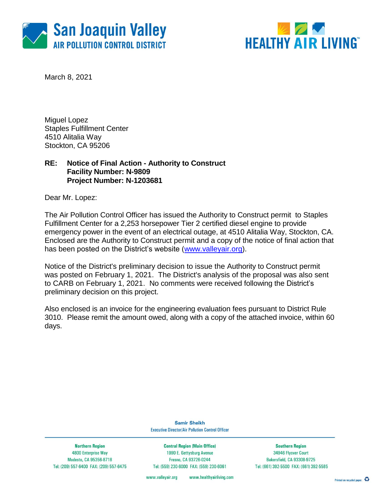



March 8, 2021

Miguel Lopez Staples Fulfillment Center 4510 Alitalia Way Stockton, CA 95206

### **RE: Notice of Final Action - Authority to Construct Facility Number: N-9809 Project Number: N-1203681**

Dear Mr. Lopez:

The Air Pollution Control Officer has issued the Authority to Construct permit to Staples Fulfillment Center for a 2,253 horsepower Tier 2 certified diesel engine to provide emergency power in the event of an electrical outage, at 4510 Alitalia Way, Stockton, CA. Enclosed are the Authority to Construct permit and a copy of the notice of final action that has been posted on the District's website [\(www.valleyair.org\)](http://www.valleyair.org/).

Notice of the District's preliminary decision to issue the Authority to Construct permit was posted on February 1, 2021. The District's analysis of the proposal was also sent to CARB on February 1, 2021. No comments were received following the District's preliminary decision on this project.

Also enclosed is an invoice for the engineering evaluation fees pursuant to District Rule 3010. Please remit the amount owed, along with a copy of the attached invoice, within 60 days.

> **Samir Sheikh Executive Director/Air Pollution Control Officer**

**Northern Region** 4800 Enterprise Way Modesto, CA 95356-8718 Tel: (209) 557-6400 FAX: (209) 557-6475

**Central Region (Main Office)** 1990 E. Gettysburg Avenue Fresno, CA 93726-0244 Tel: (559) 230-6000 FAX: (559) 230-6061

**Southern Region** 34946 Flyover Court Bakersfield, CA 93308-9725 Tel: (661) 392-5500 FAX: (661) 392-5585

www.healthyairliving.com www.valleyair.org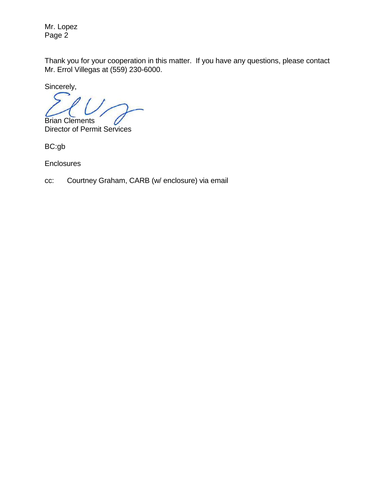Mr. Lopez Page 2

Thank you for your cooperation in this matter. If you have any questions, please contact Mr. Errol Villegas at (559) 230-6000.

Sincerely,

Brian Clements

Director of Permit Services

BC:gb

**Enclosures** 

cc: Courtney Graham, CARB (w/ enclosure) via email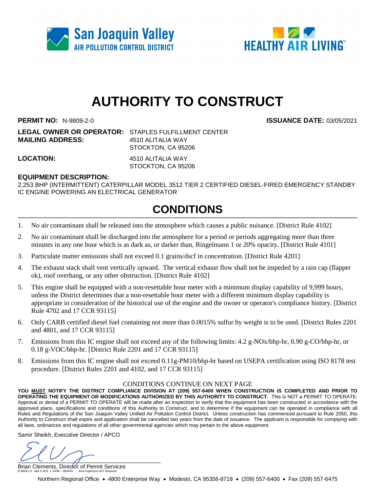



# **AUTHORITY TO CONSTRUCT**

**PERMIT NO:** N-9809-2-0 **ISSUANCE DATE:** 03/05/2021

**LEGAL OWNER OR OPERATOR:** STAPLES FULFILLMENT CENTER **MAILING ADDRESS:** 4510 ALITALIA WAY STOCKTON, CA 95206

**LOCATION:** 4510 ALITALIA WAY

STOCKTON, CA 95206

#### **EQUIPMENT DESCRIPTION:**

2,253 BHP (INTERMITTENT) CATERPILLAR MODEL 3512 TIER 2 CERTIFIED DIESEL-FIRED EMERGENCY STANDBY IC ENGINE POWERING AN ELECTRICAL GENERATOR

## **CONDITIONS**

- 1. No air contaminant shall be released into the atmosphere which causes a public nuisance. [District Rule 4102]
- 2. No air contaminant shall be discharged into the atmosphere for a period or periods aggregating more than three minutes in any one hour which is as dark as, or darker than, Ringelmann 1 or 20% opacity. [District Rule 4101]
- 3. Particulate matter emissions shall not exceed 0.1 grains/dscf in concentration. [District Rule 4201]
- 4. The exhaust stack shall vent vertically upward. The vertical exhaust flow shall not be impeded by a rain cap (flapper ok), roof overhang, or any other obstruction. [District Rule 4102]
- 5. This engine shall be equipped with a non-resettable hour meter with a minimum display capability of 9,999 hours, unless the District determines that a non-resettable hour meter with a different minimum display capability is appropriate in consideration of the historical use of the engine and the owner or operator's compliance history. [District Rule 4702 and 17 CCR 93115]
- 6. Only CARB certified diesel fuel containing not more than 0.0015% sulfur by weight is to be used. [District Rules 2201 and 4801, and 17 CCR 93115]
- 7. Emissions from this IC engine shall not exceed any of the following limits: 4.2 g-NOx/bhp-hr, 0.90 g-CO/bhp-hr, or 0.18 g-VOC/bhp-hr. [District Rule 2201 and 17 CCR 93115]
- 8. Emissions from this IC engine shall not exceed 0.11g-PM10/bhp-hr based on USEPA certification using ISO 8178 test procedure. [District Rules 2201 and 4102, and 17 CCR 93115]

#### CONDITIONS CONTINUE ON NEXT PAGE

**YOU MUST NOTIFY THE DISTRICT COMPLIANCE DIVISION AT (209) 557-6400 WHEN CONSTRUCTION IS COMPLETED AND PRIOR TO OPERATING THE EQUIPMENT OR MODIFICATIONS AUTHORIZED BY THIS AUTHORITY TO CONSTRUCT.** This is NOT a PERMIT TO OPERATE. Approval or denial of a PERMIT TO OPERATE will be made after an inspection to verify that the equipment has been constructed in accordance with the approved plans, specifications and conditions of this Authority to Construct, and to determine if the equipment can be operated in compliance with all Rules and Regulations of the San Joaquin Valley Unified Air Pollution Control District. Unless construction has commenced pursuant to Rule 2050, this Authority to Construct shall expire and application shall be cancelled two years from the date of issuance. The applicant is responsible for complying with all laws, ordinances and regulations of all other governmental agencies which may pertain to the above equipment.

Samir Sheikh, Executive Director / APCO

 $U(1)$ 

Brian Clements, Director of Permit Services N-9809-2-0 : Mar 5 2021 1:15PM -- BRARG : Joint Inspection NOT Required

Northern Regional Office • 4800 Enterprise Way • Modesto, CA 95356-8718 • (209) 557-6400 • Fax (209) 557-6475